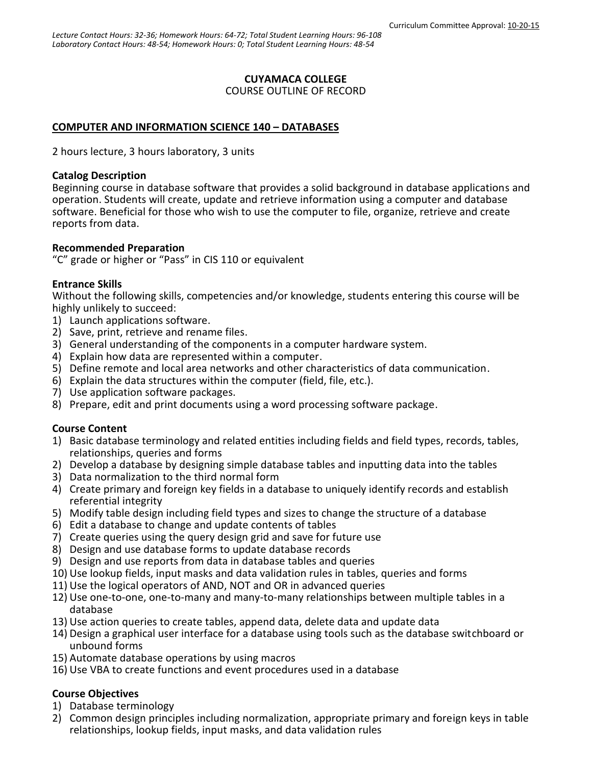# **CUYAMACA COLLEGE**

COURSE OUTLINE OF RECORD

# **COMPUTER AND INFORMATION SCIENCE 140 – DATABASES**

2 hours lecture, 3 hours laboratory, 3 units

#### **Catalog Description**

Beginning course in database software that provides a solid background in database applications and operation. Students will create, update and retrieve information using a computer and database software. Beneficial for those who wish to use the computer to file, organize, retrieve and create reports from data.

## **Recommended Preparation**

"C" grade or higher or "Pass" in CIS 110 or equivalent

## **Entrance Skills**

Without the following skills, competencies and/or knowledge, students entering this course will be highly unlikely to succeed:

- 1) Launch applications software.
- 2) Save, print, retrieve and rename files.
- 3) General understanding of the components in a computer hardware system.
- 4) Explain how data are represented within a computer.
- 5) Define remote and local area networks and other characteristics of data communication.
- 6) Explain the data structures within the computer (field, file, etc.).
- 7) Use application software packages.
- 8) Prepare, edit and print documents using a word processing software package.

## **Course Content**

- 1) Basic database terminology and related entities including fields and field types, records, tables, relationships, queries and forms
- 2) Develop a database by designing simple database tables and inputting data into the tables
- 3) Data normalization to the third normal form
- 4) Create primary and foreign key fields in a database to uniquely identify records and establish referential integrity
- 5) Modify table design including field types and sizes to change the structure of a database
- 6) Edit a database to change and update contents of tables
- 7) Create queries using the query design grid and save for future use
- 8) Design and use database forms to update database records
- 9) Design and use reports from data in database tables and queries
- 10) Use lookup fields, input masks and data validation rules in tables, queries and forms
- 11) Use the logical operators of AND, NOT and OR in advanced queries
- 12) Use one-to-one, one-to-many and many-to-many relationships between multiple tables in a database
- 13) Use action queries to create tables, append data, delete data and update data
- 14) Design a graphical user interface for a database using tools such as the database switchboard or unbound forms
- 15) Automate database operations by using macros
- 16) Use VBA to create functions and event procedures used in a database

## **Course Objectives**

- 1) Database terminology
- 2) Common design principles including normalization, appropriate primary and foreign keys in table relationships, lookup fields, input masks, and data validation rules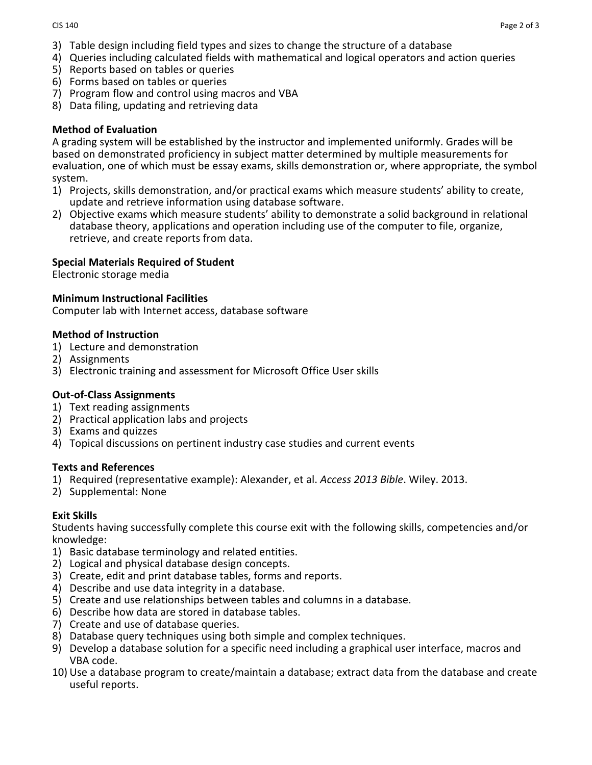- 3) Table design including field types and sizes to change the structure of a database
- 4) Queries including calculated fields with mathematical and logical operators and action queries
- 5) Reports based on tables or queries
- 6) Forms based on tables or queries
- 7) Program flow and control using macros and VBA
- 8) Data filing, updating and retrieving data

# **Method of Evaluation**

A grading system will be established by the instructor and implemented uniformly. Grades will be based on demonstrated proficiency in subject matter determined by multiple measurements for evaluation, one of which must be essay exams, skills demonstration or, where appropriate, the symbol system.

- 1) Projects, skills demonstration, and/or practical exams which measure students' ability to create, update and retrieve information using database software.
- 2) Objective exams which measure students' ability to demonstrate a solid background in relational database theory, applications and operation including use of the computer to file, organize, retrieve, and create reports from data.

## **Special Materials Required of Student**

Electronic storage media

## **Minimum Instructional Facilities**

Computer lab with Internet access, database software

#### **Method of Instruction**

- 1) Lecture and demonstration
- 2) Assignments
- 3) Electronic training and assessment for Microsoft Office User skills

## **Out-of-Class Assignments**

- 1) Text reading assignments
- 2) Practical application labs and projects
- 3) Exams and quizzes
- 4) Topical discussions on pertinent industry case studies and current events

#### **Texts and References**

- 1) Required (representative example): Alexander, et al. *Access 2013 Bible*. Wiley. 2013.
- 2) Supplemental: None

## **Exit Skills**

Students having successfully complete this course exit with the following skills, competencies and/or knowledge:

- 1) Basic database terminology and related entities.
- 2) Logical and physical database design concepts.
- 3) Create, edit and print database tables, forms and reports.
- 4) Describe and use data integrity in a database.
- 5) Create and use relationships between tables and columns in a database.
- 6) Describe how data are stored in database tables.
- 7) Create and use of database queries.
- 8) Database query techniques using both simple and complex techniques.
- 9) Develop a database solution for a specific need including a graphical user interface, macros and VBA code.
- 10) Use a database program to create/maintain a database; extract data from the database and create useful reports.